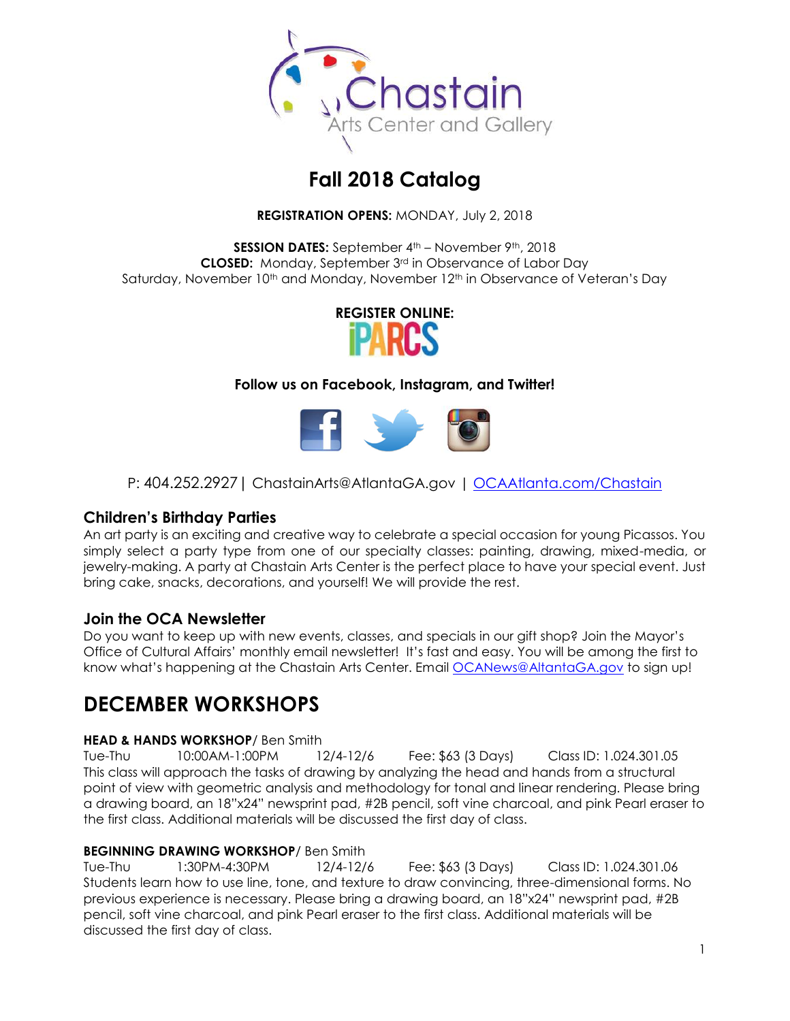

# **Fall 2018 Catalog**

**REGISTRATION OPENS:** MONDAY, July 2, 2018

**SESSION DATES:** September 4<sup>th</sup> – November 9<sup>th</sup>, 2018 **CLOSED:** Monday, September 3rd in Observance of Labor Day Saturday, November 10<sup>th</sup> and Monday, November 12<sup>th</sup> in Observance of Veteran's Day



### **Follow us on Facebook, Instagram, and Twitter!**



P: 404.252.2927 | ChastainArts@AtlantaGA.gov | [OCAAtlanta.com/Chastain](http://www.ocaatlanta.com/chastain/)

### **Children's Birthday Parties**

An art party is an exciting and creative way to celebrate a special occasion for young Picassos. You simply select a party type from one of our specialty classes: painting, drawing, mixed-media, or jewelry-making. A party at Chastain Arts Center is the perfect place to have your special event. Just bring cake, snacks, decorations, and yourself! We will provide the rest.

### **Join the OCA Newsletter**

Do you want to keep up with new events, classes, and specials in our gift shop? Join the Mayor's Office of Cultural Affairs' monthly email newsletter! It's fast and easy. You will be among the first to know what's happening at the Chastain Arts Center. Email [OCANews@AltantaGA.gov](mailto:OCANews@AltantaGA.gov) to sign up!

## **DECEMBER WORKSHOPS**

### **HEAD & HANDS WORKSHOP**/ Ben Smith

Tue-Thu 10:00AM-1:00PM 12/4-12/6 Fee: \$63 (3 Days) Class ID: 1.024.301.05 This class will approach the tasks of drawing by analyzing the head and hands from a structural point of view with geometric analysis and methodology for tonal and linear rendering. Please bring a drawing board, an 18"x24" newsprint pad, #2B pencil, soft vine charcoal, and pink Pearl eraser to the first class. Additional materials will be discussed the first day of class.

### **BEGINNING DRAWING WORKSHOP**/ Ben Smith

Tue-Thu 1:30PM-4:30PM 12/4-12/6 Fee: \$63 (3 Days) Class ID: 1.024.301.06 Students learn how to use line, tone, and texture to draw convincing, three-dimensional forms. No previous experience is necessary. Please bring a drawing board, an 18"x24" newsprint pad, #2B pencil, soft vine charcoal, and pink Pearl eraser to the first class. Additional materials will be discussed the first day of class.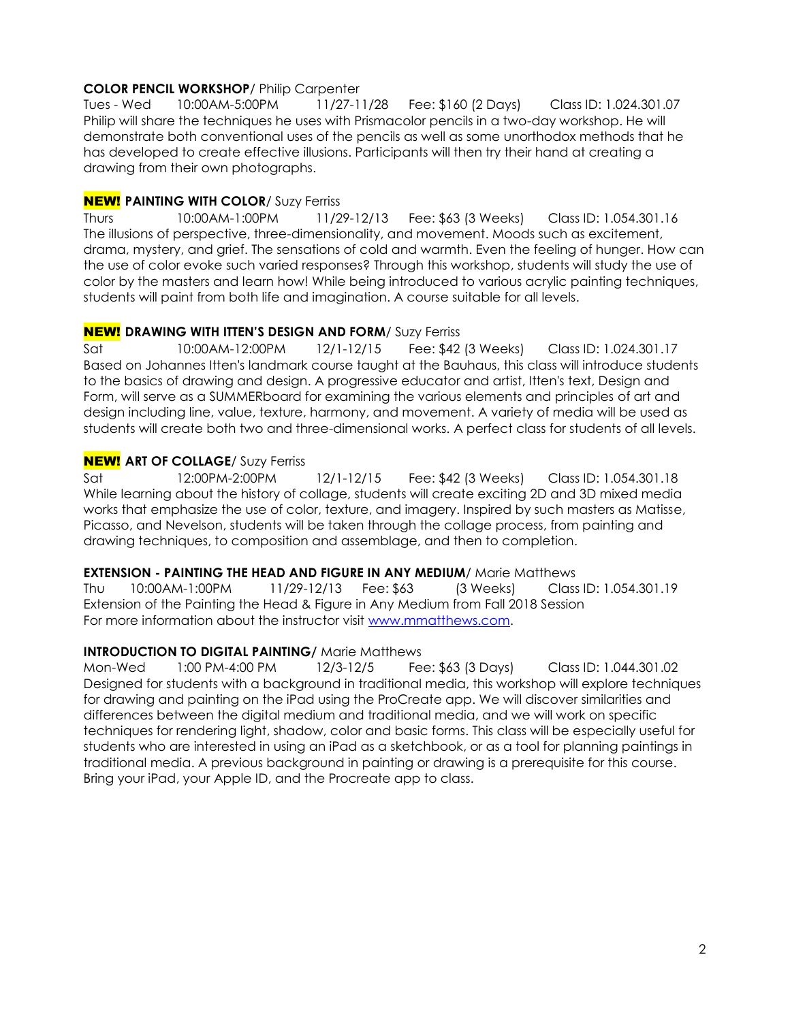### **COLOR PENCIL WORKSHOP**/ Philip Carpenter

Tues - Wed 10:00AM-5:00PM 11/27-11/28 Fee: \$160 (2 Days) Class ID: 1.024.301.07 Philip will share the techniques he uses with Prismacolor pencils in a two-day workshop. He will demonstrate both conventional uses of the pencils as well as some unorthodox methods that he has developed to create effective illusions. Participants will then try their hand at creating a drawing from their own photographs.

### **NEW! PAINTING WITH COLOR/ Suzy Ferriss**

Thurs 10:00AM-1:00PM 11/29-12/13 Fee: \$63 (3 Weeks) Class ID: 1.054.301.16 The illusions of perspective, three-dimensionality, and movement. Moods such as excitement, drama, mystery, and grief. The sensations of cold and warmth. Even the feeling of hunger. How can the use of color evoke such varied responses? Through this workshop, students will study the use of color by the masters and learn how! While being introduced to various acrylic painting techniques, students will paint from both life and imagination. A course suitable for all levels.

### NEW! **DRAWING WITH ITTEN'S DESIGN AND FORM**/ Suzy Ferriss

Sat 10:00AM-12:00PM 12/1-12/15 Fee: \$42 (3 Weeks) Class ID: 1.024.301.17 Based on Johannes Itten's landmark course taught at the Bauhaus, this class will introduce students to the basics of drawing and design. A progressive educator and artist, Itten's text, Design and Form, will serve as a SUMMERboard for examining the various elements and principles of art and design including line, value, texture, harmony, and movement. A variety of media will be used as students will create both two and three-dimensional works. A perfect class for students of all levels.

### **NEW!** ART OF COLLAGE/ Suzy Ferriss

Sat 12:00PM-2:00PM 12/1-12/15 Fee: \$42 (3 Weeks) Class ID: 1.054.301.18 While learning about the history of collage, students will create exciting 2D and 3D mixed media works that emphasize the use of color, texture, and imagery. Inspired by such masters as Matisse, Picasso, and Nevelson, students will be taken through the collage process, from painting and drawing techniques, to composition and assemblage, and then to completion.

### **EXTENSION - PAINTING THE HEAD AND FIGURE IN ANY MEDIUM/ Marie Matthews**

Thu 10:00AM-1:00PM 11/29-12/13 Fee: \$63 (3 Weeks) Class ID: 1.054.301.19 Extension of the Painting the Head & Figure in Any Medium from Fall 2018 Session For more information about the instructor visit [www.mmatthews.com.](http://www.mmatthews.com/)

### **INTRODUCTION TO DIGITAL PAINTING/ Marie Matthews**

Mon-Wed 1:00 PM-4:00 PM 12/3-12/5 Fee: \$63 (3 Days) Class ID: 1.044.301.02 Designed for students with a background in traditional media, this workshop will explore techniques for drawing and painting on the iPad using the ProCreate app. We will discover similarities and differences between the digital medium and traditional media, and we will work on specific techniques for rendering light, shadow, color and basic forms. This class will be especially useful for students who are interested in using an iPad as a sketchbook, or as a tool for planning paintings in traditional media. A previous background in painting or drawing is a prerequisite for this course. Bring your iPad, your Apple ID, and the Procreate app to class.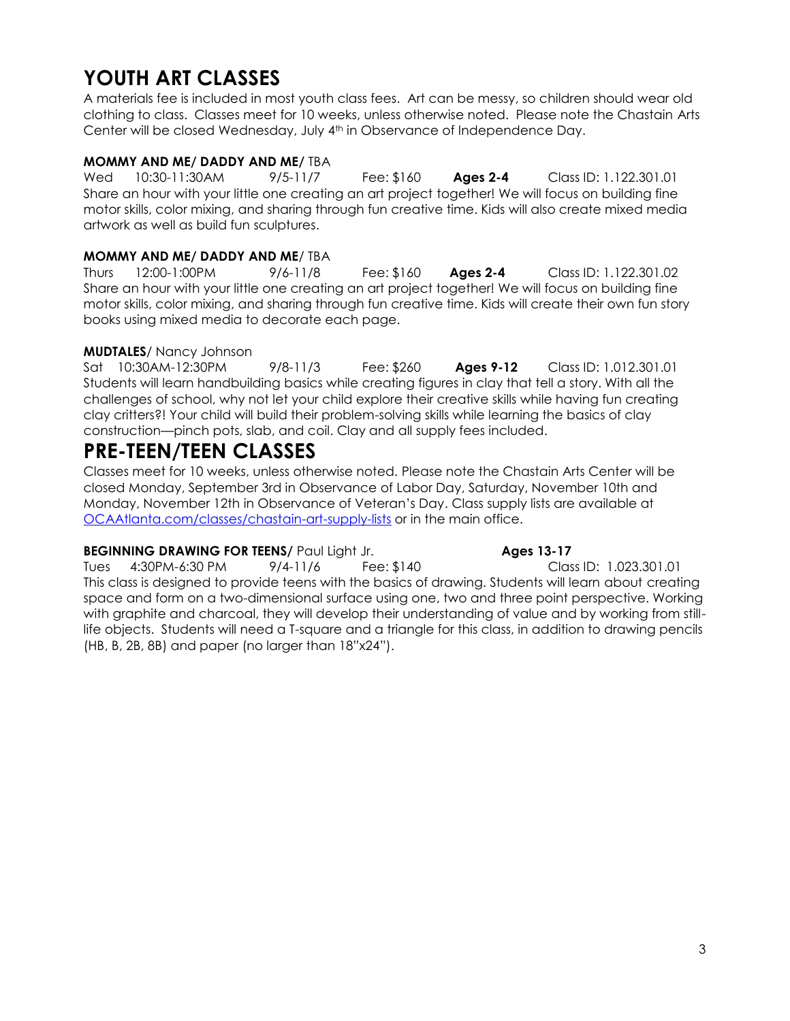# **YOUTH ART CLASSES**

A materials fee is included in most youth class fees. Art can be messy, so children should wear old clothing to class. Classes meet for 10 weeks, unless otherwise noted. Please note the Chastain Arts Center will be closed Wednesday, July 4<sup>th</sup> in Observance of Independence Day.

### **MOMMY AND ME/ DADDY AND ME/** TBA

Wed 10:30-11:30AM 9/5-11/7 Fee: \$160 **Ages 2-4** Class ID: 1.122.301.01 Share an hour with your little one creating an art project together! We will focus on building fine motor skills, color mixing, and sharing through fun creative time. Kids will also create mixed media artwork as well as build fun sculptures.

### **MOMMY AND ME/ DADDY AND ME**/ TBA

Thurs 12:00-1:00PM 9/6-11/8 Fee: \$160 **Ages 2-4** Class ID: 1.122.301.02 Share an hour with your little one creating an art project together! We will focus on building fine motor skills, color mixing, and sharing through fun creative time. Kids will create their own fun story books using mixed media to decorate each page.

### **MUDTALES**/ Nancy Johnson

Sat 10:30AM-12:30PM 9/8-11/3 Fee: \$260 **Ages 9-12** Class ID: 1.012.301.01 Students will learn handbuilding basics while creating figures in clay that tell a story. With all the challenges of school, why not let your child explore their creative skills while having fun creating clay critters?! Your child will build their problem-solving skills while learning the basics of clay construction—pinch pots, slab, and coil. Clay and all supply fees included.

## **PRE-TEEN/TEEN CLASSES**

Classes meet for 10 weeks, unless otherwise noted. Please note the Chastain Arts Center will be closed Monday, September 3rd in Observance of Labor Day, Saturday, November 10th and Monday, November 12th in Observance of Veteran's Day. Class supply lists are available at [OCAAtlanta.com/classes/chastain-art-supply-lists](http://www.ocaatlanta.com/classes/chastain-art-supply-lists/) or in the main office.

### **BEGINNING DRAWING FOR TEENS/** Paul Light Jr. **Ages 13-17**

Tues 4:30PM-6:30 PM 9/4-11/6 Fee: \$140 Class ID: 1.023.301.01 This class is designed to provide teens with the basics of drawing. Students will learn about creating space and form on a two-dimensional surface using one, two and three point perspective. Working with graphite and charcoal, they will develop their understanding of value and by working from stilllife objects. Students will need a T-square and a triangle for this class, in addition to drawing pencils (HB, B, 2B, 8B) and paper (no larger than 18"x24").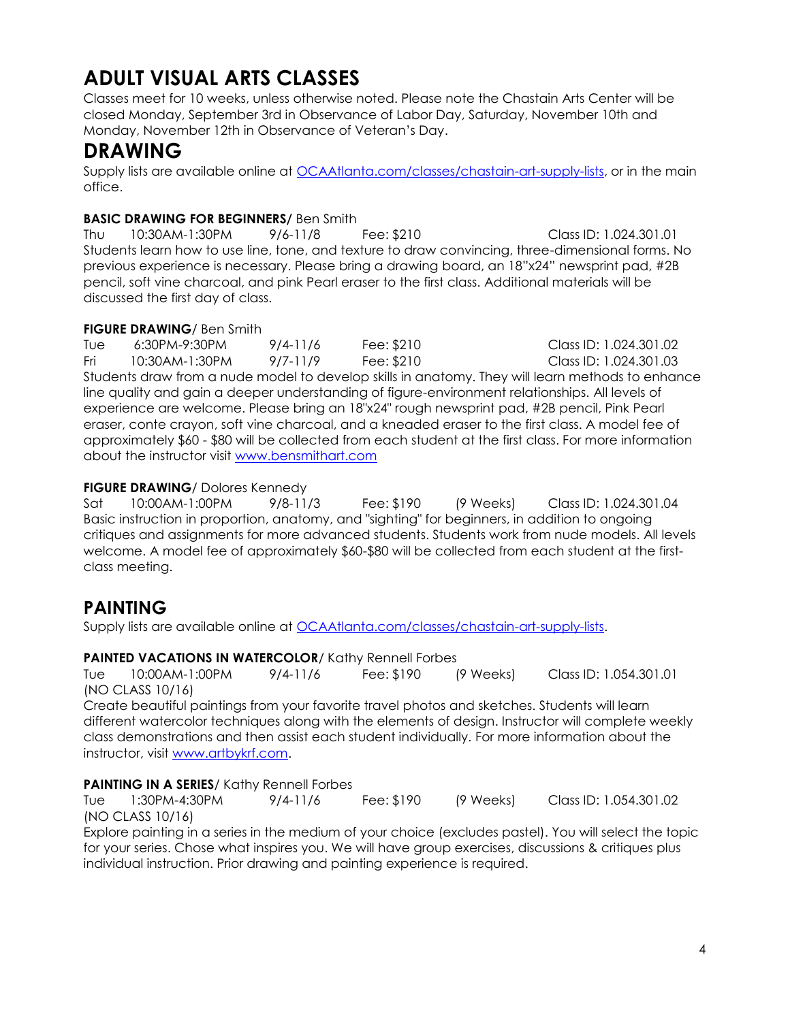# **ADULT VISUAL ARTS CLASSES**

Classes meet for 10 weeks, unless otherwise noted. Please note the Chastain Arts Center will be closed Monday, September 3rd in Observance of Labor Day, Saturday, November 10th and Monday, November 12th in Observance of Veteran's Day.

## **DRAWING**

Supply lists are available online at [OCAAtlanta.com/classes/chastain-art-supply-lists,](http://www.ocaatlanta.com/classes/chastain-art-supply-lists/) or in the main office.

### **BASIC DRAWING FOR BEGINNERS/** Ben Smith

Thu 10:30AM-1:30PM 9/6-11/8 Fee: \$210 Class ID: 1.024.301.01 Students learn how to use line, tone, and texture to draw convincing, three-dimensional forms. No previous experience is necessary. Please bring a drawing board, an 18"x24" newsprint pad, #2B pencil, soft vine charcoal, and pink Pearl eraser to the first class. Additional materials will be discussed the first day of class.

### **FIGURE DRAWING**/ Ben Smith

Tue 6:30PM-9:30PM 9/4-11/6 Fee: \$210 Class ID: 1.024.301.02 Fri 10:30AM-1:30PM 9/7-11/9 Fee: \$210 Class ID: 1.024.301.03 Students draw from a nude model to develop skills in anatomy. They will learn methods to enhance line quality and gain a deeper understanding of figure-environment relationships. All levels of experience are welcome. Please bring an 18"x24" rough newsprint pad, #2B pencil, Pink Pearl eraser, conte crayon, soft vine charcoal, and a kneaded eraser to the first class. A model fee of approximately \$60 - \$80 will be collected from each student at the first class. For more information about the instructor visit [www.bensmithart.com](http://www.bensmithart.com/)

### **FIGURE DRAWING**/ Dolores Kennedy

Sat 10:00AM-1:00PM 9/8-11/3 Fee: \$190 (9 Weeks) Class ID: 1.024.301.04 Basic instruction in proportion, anatomy, and "sighting" for beginners, in addition to ongoing critiques and assignments for more advanced students. Students work from nude models. All levels welcome. A model fee of approximately \$60-\$80 will be collected from each student at the firstclass meeting.

## **PAINTING**

Supply lists are available online at [OCAAtlanta.com/classes/chastain-art-supply-lists.](http://www.ocaatlanta.com/classes/chastain-art-supply-lists/)

### **PAINTED VACATIONS IN WATERCOLOR**/ Kathy Rennell Forbes

Tue 10:00AM-1:00PM 9/4-11/6 Fee: \$190 (9 Weeks) Class ID: 1.054.301.01 (NO CLASS 10/16)

Create beautiful paintings from your favorite travel photos and sketches. Students will learn different watercolor techniques along with the elements of design. Instructor will complete weekly class demonstrations and then assist each student individually. For more information about the instructor, visit [www.artbykrf.com.](http://www.artbykrf.com/)

### **PAINTING IN A SERIES/ Kathy Rennell Forbes**

Tue 1:30PM-4:30PM 9/4-11/6 Fee: \$190 (9 Weeks) Class ID: 1.054.301.02 (NO CLASS 10/16)

Explore painting in a series in the medium of your choice (excludes pastel). You will select the topic for your series. Chose what inspires you. We will have group exercises, discussions & critiques plus individual instruction. Prior drawing and painting experience is required.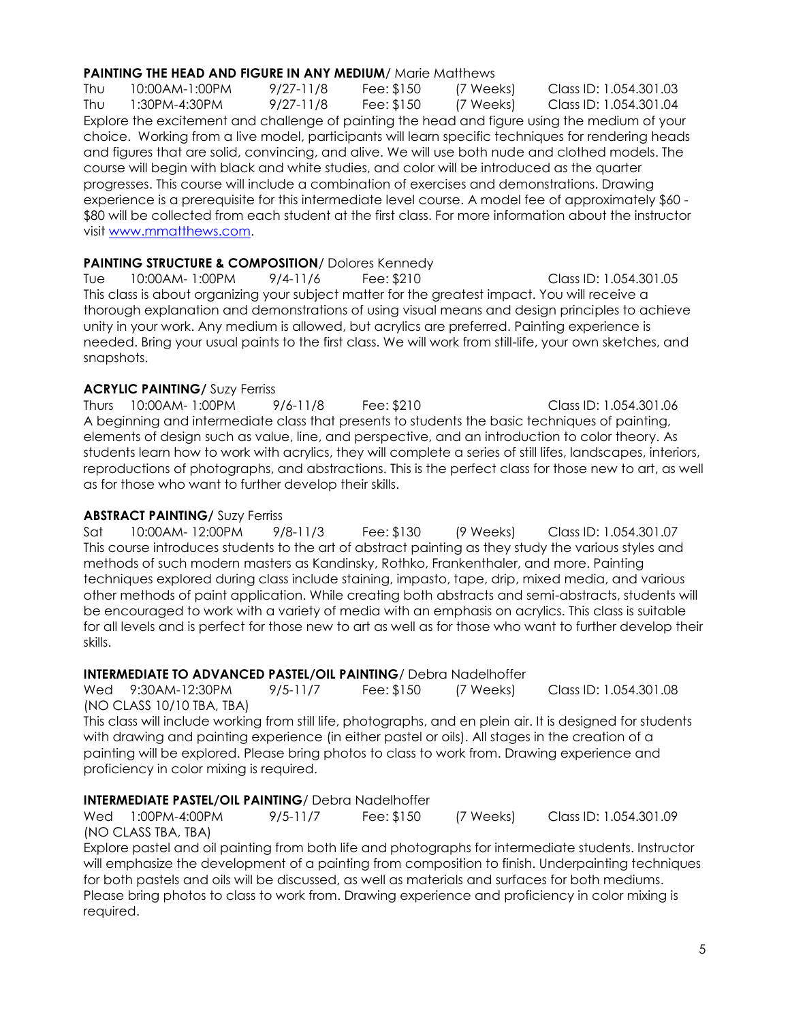### **PAINTING THE HEAD AND FIGURE IN ANY MEDIUM/ Marie Matthews**

Thu 10:00AM-1:00PM 9/27-11/8 Fee: \$150 (7 Weeks) Class ID: 1.054.301.03 Thu 1:30PM-4:30PM 9/27-11/8 Fee: \$150 (7 Weeks) Class ID: 1.054.301.04 Explore the excitement and challenge of painting the head and figure using the medium of your choice. Working from a live model, participants will learn specific techniques for rendering heads and figures that are solid, convincing, and alive. We will use both nude and clothed models. The course will begin with black and white studies, and color will be introduced as the quarter progresses. This course will include a combination of exercises and demonstrations. Drawing experience is a prerequisite for this intermediate level course. A model fee of approximately \$60 - \$80 will be collected from each student at the first class. For more information about the instructor visit [www.mmatthews.com.](http://www.mmatthews.com/)

### **PAINTING STRUCTURE & COMPOSITION**/ Dolores Kennedy

Tue 10:00AM- 1:00PM 9/4-11/6 Fee: \$210 Class ID: 1.054.301.05 This class is about organizing your subject matter for the greatest impact. You will receive a thorough explanation and demonstrations of using visual means and design principles to achieve unity in your work. Any medium is allowed, but acrylics are preferred. Painting experience is needed. Bring your usual paints to the first class. We will work from still-life, your own sketches, and snapshots.

### **ACRYLIC PAINTING/** Suzy Ferriss

Thurs 10:00AM- 1:00PM 9/6-11/8 Fee: \$210 Class ID: 1.054.301.06 A beginning and intermediate class that presents to students the basic techniques of painting, elements of design such as value, line, and perspective, and an introduction to color theory. As students learn how to work with acrylics, they will complete a series of still lifes, landscapes, interiors, reproductions of photographs, and abstractions. This is the perfect class for those new to art, as well as for those who want to further develop their skills.

### **ABSTRACT PAINTING/** Suzy Ferriss

Sat 10:00AM- 12:00PM 9/8-11/3 Fee: \$130 (9 Weeks) Class ID: 1.054.301.07 This course introduces students to the art of abstract painting as they study the various styles and methods of such modern masters as Kandinsky, Rothko, Frankenthaler, and more. Painting techniques explored during class include staining, impasto, tape, drip, mixed media, and various other methods of paint application. While creating both abstracts and semi-abstracts, students will be encouraged to work with a variety of media with an emphasis on acrylics. This class is suitable for all levels and is perfect for those new to art as well as for those who want to further develop their skills.

### **INTERMEDIATE TO ADVANCED PASTEL/OIL PAINTING**/ Debra Nadelhoffer

Wed 9:30AM-12:30PM 9/5-11/7 Fee: \$150 (7 Weeks) Class ID: 1.054.301.08 (NO CLASS 10/10 TBA, TBA)

This class will include working from still life, photographs, and en plein air. It is designed for students with drawing and painting experience (in either pastel or oils). All stages in the creation of a painting will be explored. Please bring photos to class to work from. Drawing experience and proficiency in color mixing is required.

### **INTERMEDIATE PASTEL/OIL PAINTING**/ Debra Nadelhoffer

Wed 1:00PM-4:00PM 9/5-11/7 Fee: \$150 (7 Weeks) Class ID: 1.054.301.09 (NO CLASS TBA, TBA)

Explore pastel and oil painting from both life and photographs for intermediate students. Instructor will emphasize the development of a painting from composition to finish. Underpainting techniques for both pastels and oils will be discussed, as well as materials and surfaces for both mediums. Please bring photos to class to work from. Drawing experience and proficiency in color mixing is required.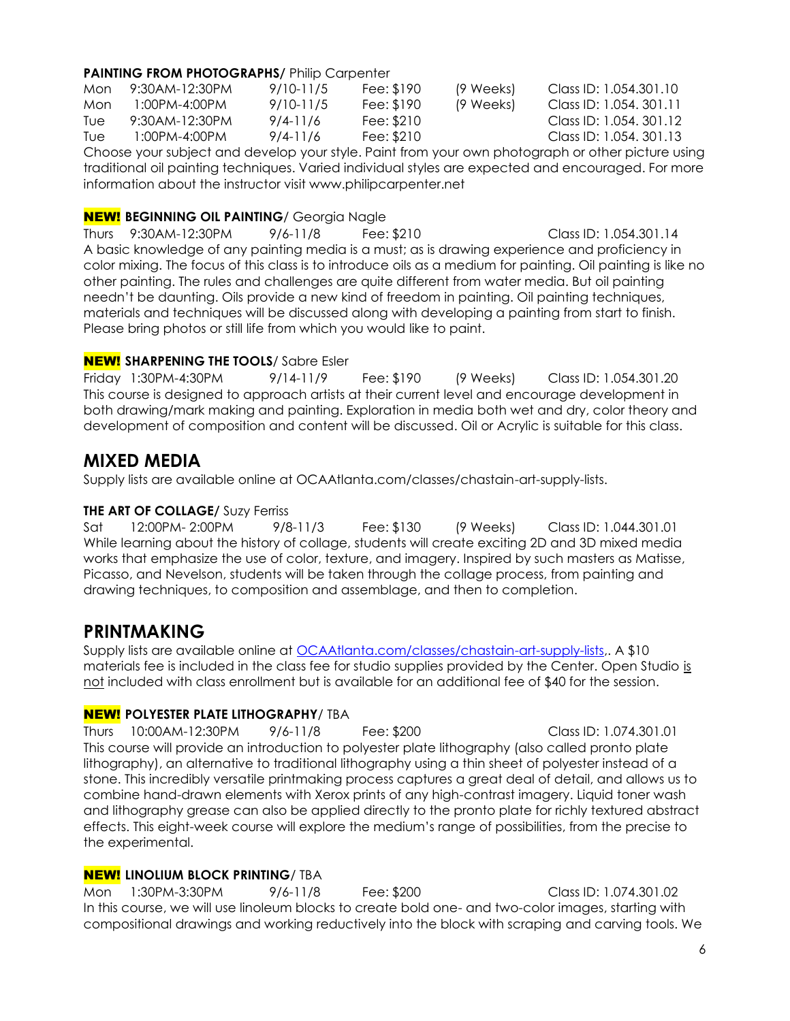### **PAINTING FROM PHOTOGRAPHS/ Philip Carpenter**

| Mon | 9:30AM-12:30PM | 9/10-11/5 | Fee: \$190 | (9 Weeks) | Class ID: 1.054.301.10  |
|-----|----------------|-----------|------------|-----------|-------------------------|
| Mon | 1:00PM-4:00PM  | 9/10-11/5 | Fee: \$190 | (9 Weeks) | Class ID: 1.054, 301.11 |
| Tue | 9:30AM-12:30PM | 9/4-11/6  | Fee: \$210 |           | Class ID: 1.054, 301.12 |
| Tue | 1:00PM-4:00PM  | 9/4-11/6  | Fee: \$210 |           | Class ID: 1.054, 301.13 |
|     |                |           |            |           |                         |

Choose your subject and develop your style. Paint from your own photograph or other picture using traditional oil painting techniques. Varied individual styles are expected and encouraged. For more information about the instructor visit www.philipcarpenter.net

### NEW! **BEGINNING OIL PAINTING**/ Georgia Nagle

Thurs 9:30AM-12:30PM 9/6-11/8 Fee: \$210 Class ID: 1.054.301.14 A basic knowledge of any painting media is a must; as is drawing experience and proficiency in color mixing. The focus of this class is to introduce oils as a medium for painting. Oil painting is like no other painting. The rules and challenges are quite different from water media. But oil painting needn't be daunting. Oils provide a new kind of freedom in painting. Oil painting techniques, materials and techniques will be discussed along with developing a painting from start to finish. Please bring photos or still life from which you would like to paint.

### NEW! **SHARPENING THE TOOLS**/ Sabre Esler

Friday 1:30PM-4:30PM 9/14-11/9 Fee: \$190 (9 Weeks) Class ID: 1.054.301.20 This course is designed to approach artists at their current level and encourage development in both drawing/mark making and painting. Exploration in media both wet and dry, color theory and development of composition and content will be discussed. Oil or Acrylic is suitable for this class.

### **MIXED MEDIA**

Supply lists are available online at OCAAtlanta.com/classes/chastain-art-supply-lists.

### **THE ART OF COLLAGE/** Suzy Ferriss

Sat 12:00PM- 2:00PM 9/8-11/3 Fee: \$130 (9 Weeks) Class ID: 1.044.301.01 While learning about the history of collage, students will create exciting 2D and 3D mixed media works that emphasize the use of color, texture, and imagery. Inspired by such masters as Matisse, Picasso, and Nevelson, students will be taken through the collage process, from painting and drawing techniques, to composition and assemblage, and then to completion.

### **PRINTMAKING**

Supply lists are available online at [OCAAtlanta.com/classes/chastain-art-supply-lists,](http://www.ocaatlanta.com/classes/chastain-art-supply-lists/). A \$10 materials fee is included in the class fee for studio supplies provided by the Center. Open Studio is not included with class enrollment but is available for an additional fee of \$40 for the session.

### NEW! **POLYESTER PLATE LITHOGRAPHY**/ TBA

Thurs 10:00AM-12:30PM 9/6-11/8 Fee: \$200 Class ID: 1.074.301.01 This course will provide an introduction to polyester plate lithography (also called pronto plate lithography), an alternative to traditional lithography using a thin sheet of polyester instead of a stone. This incredibly versatile printmaking process captures a great deal of detail, and allows us to combine hand-drawn elements with Xerox prints of any high-contrast imagery. Liquid toner wash and lithography grease can also be applied directly to the pronto plate for richly textured abstract effects. This eight-week course will explore the medium's range of possibilities, from the precise to the experimental.

### NEW! **LINOLIUM BLOCK PRINTING**/ TBA

Mon 1:30PM-3:30PM 9/6-11/8 Fee: \$200 Class ID: 1.074.301.02 In this course, we will use linoleum blocks to create bold one- and two-color images, starting with compositional drawings and working reductively into the block with scraping and carving tools. We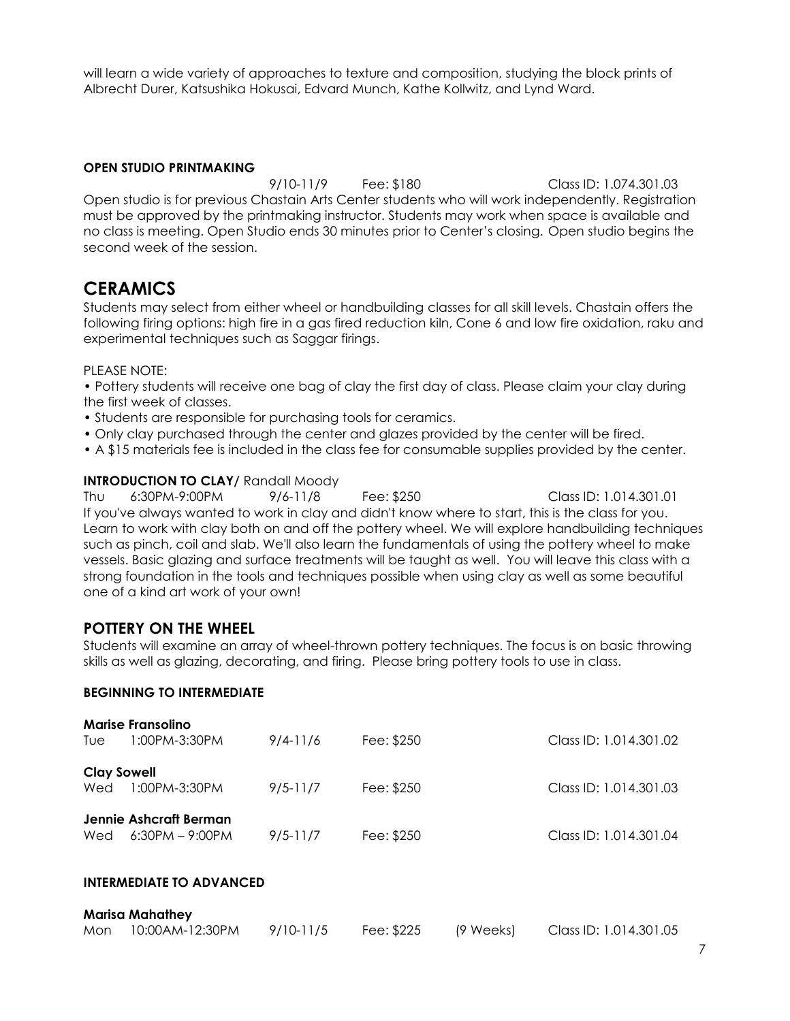will learn a wide variety of approaches to texture and composition, studying the block prints of Albrecht Durer, Katsushika Hokusai, Edvard Munch, Kathe Kollwitz, and Lynd Ward.

### **OPEN STUDIO PRINTMAKING**

9/10-11/9 Fee: \$180 Class ID: 1.074.301.03 Open studio is for previous Chastain Arts Center students who will work independently. Registration must be approved by the printmaking instructor. Students may work when space is available and no class is meeting. Open Studio ends 30 minutes prior to Center's closing. Open studio begins the second week of the session.

### **CERAMICS**

Students may select from either wheel or handbuilding classes for all skill levels. Chastain offers the following firing options: high fire in a gas fired reduction kiln, Cone 6 and low fire oxidation, raku and experimental techniques such as Saggar firings.

#### PLEASE NOTE:

• Pottery students will receive one bag of clay the first day of class. Please claim your clay during the first week of classes.

- Students are responsible for purchasing tools for ceramics.
- Only clay purchased through the center and glazes provided by the center will be fired.
- A \$15 materials fee is included in the class fee for consumable supplies provided by the center.

#### **INTRODUCTION TO CLAY/ Randall Moody**

Thu 6:30PM-9:00PM 9/6-11/8 Fee: \$250 Class ID: 1.014.301.01 If you've always wanted to work in clay and didn't know where to start, this is the class for you. Learn to work with clay both on and off the pottery wheel. We will explore handbuilding techniques such as pinch, coil and slab. We'll also learn the fundamentals of using the pottery wheel to make vessels. Basic glazing and surface treatments will be taught as well. You will leave this class with a strong foundation in the tools and techniques possible when using clay as well as some beautiful one of a kind art work of your own!

### **POTTERY ON THE WHEEL**

Students will examine an array of wheel-thrown pottery techniques. The focus is on basic throwing skills as well as glazing, decorating, and firing. Please bring pottery tools to use in class.

#### **BEGINNING TO INTERMEDIATE**

| <b>Marise Fransolino</b> |                   |              |            |                        |  |
|--------------------------|-------------------|--------------|------------|------------------------|--|
| Tue                      | 1:00PM-3:30PM     | $9/4 - 11/6$ | Fee: \$250 | Class ID: 1.014.301.02 |  |
| <b>Clay Sowell</b>       |                   |              |            |                        |  |
| Wed                      | 1:00PM-3:30PM     | $9/5 - 11/7$ | Fee: \$250 | Class ID: 1.014.301.03 |  |
| Jennie Ashcraft Berman   |                   |              |            |                        |  |
|                          |                   |              |            |                        |  |
| Wed                      | $6:30PM - 9:00PM$ | $9/5 - 11/7$ | Fee: \$250 | Class ID: 1.014.301.04 |  |
|                          |                   |              |            |                        |  |

### **INTERMEDIATE TO ADVANCED**

| <b>Marisa Mahathey</b> |                 |           |            |           |                        |  |  |
|------------------------|-----------------|-----------|------------|-----------|------------------------|--|--|
| Mon                    | 10:00AM-12:30PM | 9/10-11/5 | Fee: \$225 | (9 Weeks) | Class ID: 1.014.301.05 |  |  |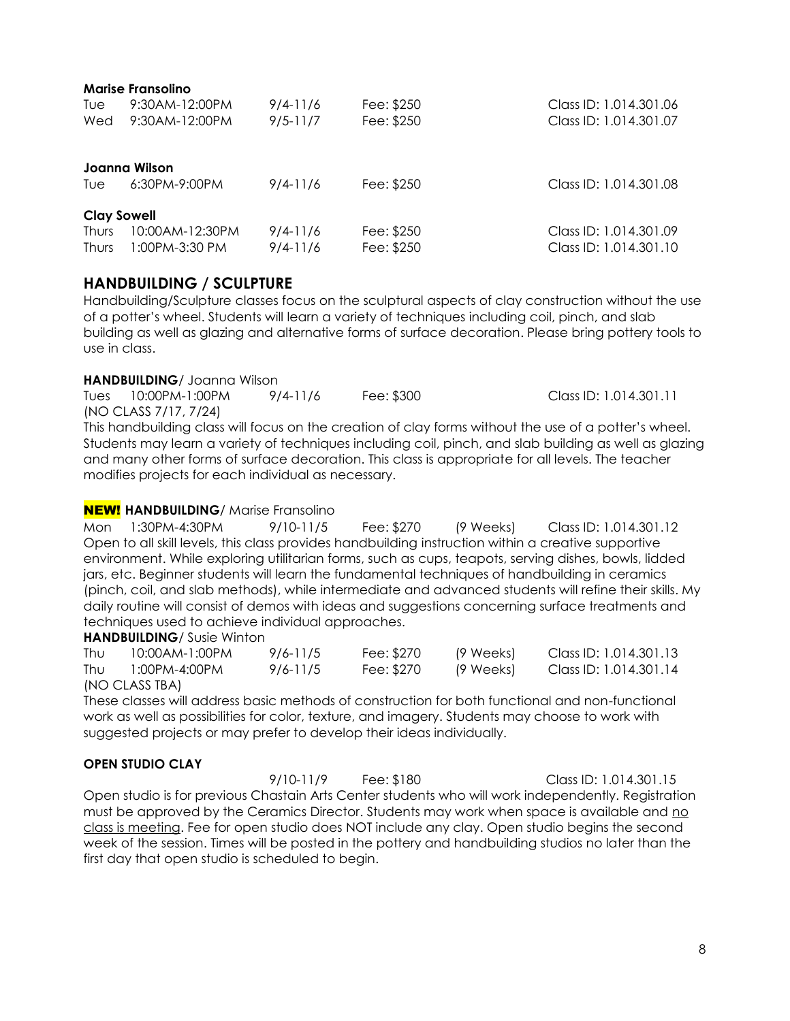| <b>Marise Fransolino</b> |                   |              |            |                        |  |  |  |
|--------------------------|-------------------|--------------|------------|------------------------|--|--|--|
| Tue                      | 9:30 AM-12:00 PM  | $9/4 - 11/6$ | Fee: \$250 | Class ID: 1.014.301.06 |  |  |  |
| Wed                      | 9:30AM-12:00PM    | $9/5 - 11/7$ | Fee: \$250 | Class ID: 1.014.301.07 |  |  |  |
| Joanna Wilson            |                   |              |            |                        |  |  |  |
| Tue                      | 6:30PM-9:00PM     | $9/4 - 11/6$ | Fee: \$250 | Class ID: 1.014.301.08 |  |  |  |
| <b>Clay Sowell</b>       |                   |              |            |                        |  |  |  |
| <b>Thurs</b>             | 10:00 AM-12:30 PM | $9/4 - 11/6$ | Fee: \$250 | Class ID: 1.014.301.09 |  |  |  |
| <b>Thurs</b>             | 1:00PM-3:30 PM    | $9/4 - 11/6$ | Fee: \$250 | Class ID: 1.014.301.10 |  |  |  |

### **HANDBUILDING / SCULPTURE**

Handbuilding/Sculpture classes focus on the sculptural aspects of clay construction without the use of a potter's wheel. Students will learn a variety of techniques including coil, pinch, and slab building as well as glazing and alternative forms of surface decoration. Please bring pottery tools to use in class.

### **HANDBUILDING**/ Joanna Wilson

Tues 10:00PM-1:00PM 9/4-11/6 Fee: \$300 Class ID: 1.014.301.11 (NO CLASS 7/17, 7/24)

This handbuilding class will focus on the creation of clay forms without the use of a potter's wheel. Students may learn a variety of techniques including coil, pinch, and slab building as well as glazing and many other forms of surface decoration. This class is appropriate for all levels. The teacher modifies projects for each individual as necessary.

### NEW! **HANDBUILDING**/ Marise Fransolino

Mon 1:30PM-4:30PM 9/10-11/5 Fee: \$270 (9 Weeks) Class ID: 1.014.301.12 Open to all skill levels, this class provides handbuilding instruction within a creative supportive environment. While exploring utilitarian forms, such as cups, teapots, serving dishes, bowls, lidded jars, etc. Beginner students will learn the fundamental techniques of handbuilding in ceramics (pinch, coil, and slab methods), while intermediate and advanced students will refine their skills. My daily routine will consist of demos with ideas and suggestions concerning surface treatments and techniques used to achieve individual approaches.

### **HANDBUILDING**/ Susie Winton

| Thu | 10:00AM-1:00PM | 9/6-11/5 | Fee: \$270 | (9 Weeks) | Class ID: 1.014.301.13 |
|-----|----------------|----------|------------|-----------|------------------------|
| Thu | 1:00PM-4:00PM  | 9/6-11/5 | Fee: \$270 | (9 Weeks) | Class ID: 1.014.301.14 |
|     | (NO CLASS TBA) |          |            |           |                        |

These classes will address basic methods of construction for both functional and non-functional work as well as possibilities for color, texture, and imagery. Students may choose to work with suggested projects or may prefer to develop their ideas individually.

### **OPEN STUDIO CLAY**

9/10-11/9 Fee: \$180 Class ID: 1.014.301.15 Open studio is for previous Chastain Arts Center students who will work independently. Registration must be approved by the Ceramics Director. Students may work when space is available and no class is meeting. Fee for open studio does NOT include any clay. Open studio begins the second week of the session. Times will be posted in the pottery and handbuilding studios no later than the first day that open studio is scheduled to begin.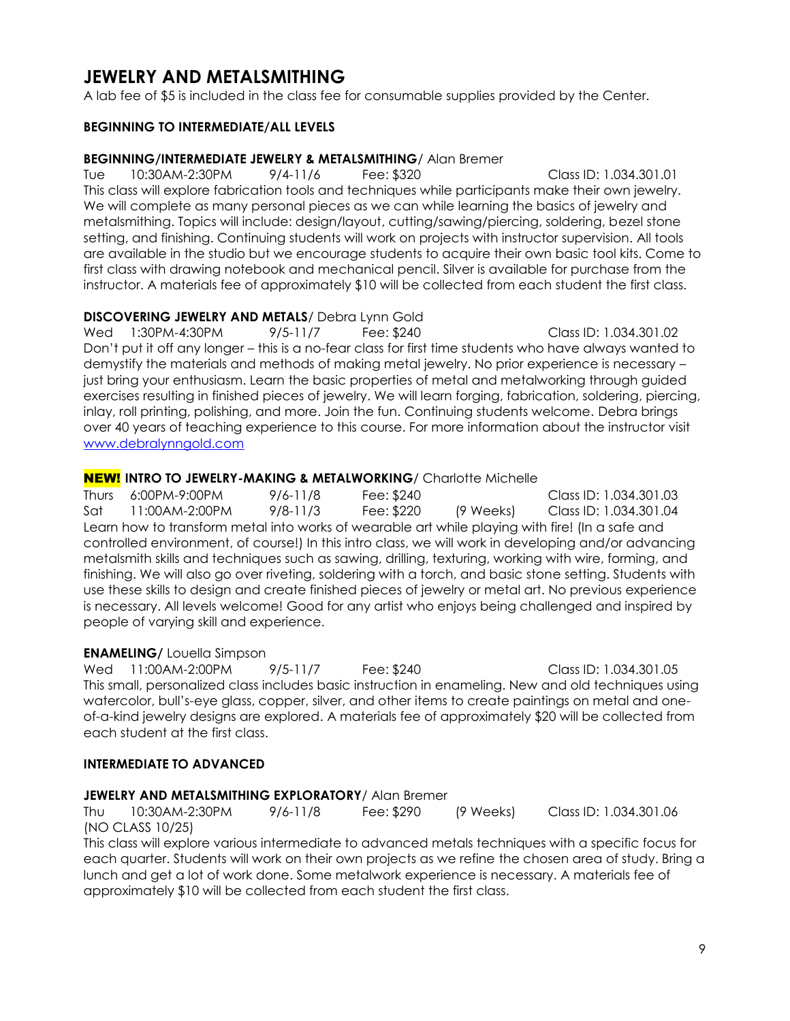### **JEWELRY AND METALSMITHING**

A lab fee of \$5 is included in the class fee for consumable supplies provided by the Center.

### **BEGINNING TO INTERMEDIATE/ALL LEVELS**

### **BEGINNING/INTERMEDIATE JEWELRY & METALSMITHING**/ Alan Bremer

Tue 10:30AM-2:30PM 9/4-11/6 Fee: \$320 Class ID: 1.034.301.01 This class will explore fabrication tools and techniques while participants make their own jewelry. We will complete as many personal pieces as we can while learning the basics of jewelry and metalsmithing. Topics will include: design/layout, cutting/sawing/piercing, soldering, bezel stone setting, and finishing. Continuing students will work on projects with instructor supervision. All tools are available in the studio but we encourage students to acquire their own basic tool kits. Come to first class with drawing notebook and mechanical pencil. Silver is available for purchase from the instructor. A materials fee of approximately \$10 will be collected from each student the first class.

### **DISCOVERING JEWELRY AND METALS**/ Debra Lynn Gold

Wed 1:30PM-4:30PM 9/5-11/7 Fee: \$240 Class ID: 1.034.301.02 Don't put it off any longer – this is a no-fear class for first time students who have always wanted to demystify the materials and methods of making metal jewelry. No prior experience is necessary – just bring your enthusiasm. Learn the basic properties of metal and metalworking through guided exercises resulting in finished pieces of jewelry. We will learn forging, fabrication, soldering, piercing, inlay, roll printing, polishing, and more. Join the fun. Continuing students welcome. Debra brings over 40 years of teaching experience to this course. For more information about the instructor visit [www.debralynngold.com](http://www.debralynngold.com/)

### NEW! **INTRO TO JEWELRY-MAKING & METALWORKING**/ Charlotte Michelle

Thurs 6:00PM-9:00PM 9/6-11/8 Fee: \$240 Class ID: 1.034.301.03 Sat 11:00AM-2:00PM 9/8-11/3 Fee: \$220 (9 Weeks) Class ID: 1.034.301.04 Learn how to transform metal into works of wearable art while playing with fire! (In a safe and controlled environment, of course!) In this intro class, we will work in developing and/or advancing metalsmith skills and techniques such as sawing, drilling, texturing, working with wire, forming, and finishing. We will also go over riveting, soldering with a torch, and basic stone setting. Students with use these skills to design and create finished pieces of jewelry or metal art. No previous experience is necessary. All levels welcome! Good for any artist who enjoys being challenged and inspired by people of varying skill and experience.

### **ENAMELING/** Louella Simpson

Wed 11:00AM-2:00PM 9/5-11/7 Fee: \$240 Class ID: 1.034.301.05 This small, personalized class includes basic instruction in enameling. New and old techniques using watercolor, bull's-eye glass, copper, silver, and other items to create paintings on metal and oneof-a-kind jewelry designs are explored. A materials fee of approximately \$20 will be collected from each student at the first class.

### **INTERMEDIATE TO ADVANCED**

### **JEWELRY AND METALSMITHING EXPLORATORY**/ Alan Bremer

Thu 10:30AM-2:30PM 9/6-11/8 Fee: \$290 (9 Weeks) Class ID: 1.034.301.06 (NO CLASS 10/25)

This class will explore various intermediate to advanced metals techniques with a specific focus for each quarter. Students will work on their own projects as we refine the chosen area of study. Bring a lunch and get a lot of work done. Some metalwork experience is necessary. A materials fee of approximately \$10 will be collected from each student the first class.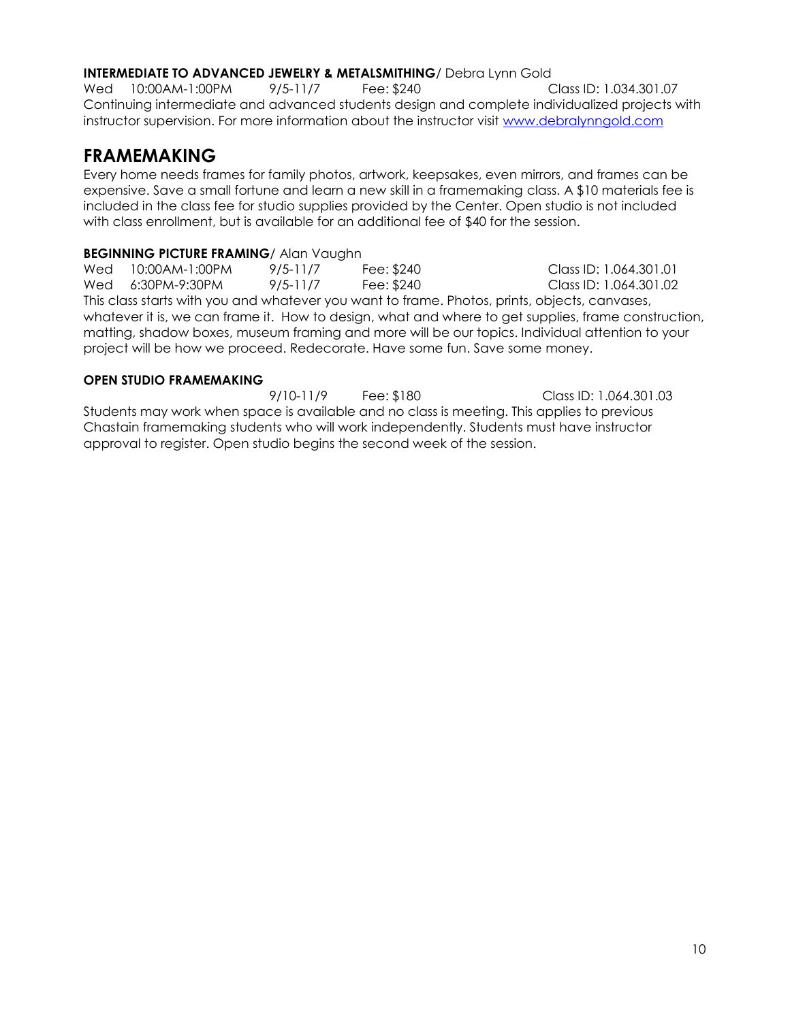### **INTERMEDIATE TO ADVANCED JEWELRY & METALSMITHING**/ Debra Lynn Gold

Wed 10:00AM-1:00PM 9/5-11/7 Fee: \$240 Class ID: 1.034.301.07 Continuing intermediate and advanced students design and complete individualized projects with instructor supervision. For more information about the instructor visit [www.debralynngold.com](http://www.debralynngold.com/)

### **FRAMEMAKING**

Every home needs frames for family photos, artwork, keepsakes, even mirrors, and frames can be expensive. Save a small fortune and learn a new skill in a framemaking class. A \$10 materials fee is included in the class fee for studio supplies provided by the Center. Open studio is not included with class enrollment, but is available for an additional fee of \$40 for the session.

### **BEGINNING PICTURE FRAMING**/ Alan Vaughn

Wed 10:00AM-1:00PM 9/5-11/7 Fee: \$240 Class ID: 1.064.301.01 Wed 6:30PM-9:30PM 9/5-11/7 Fee: \$240 Class ID: 1.064.301.02 This class starts with you and whatever you want to frame. Photos, prints, objects, canvases, whatever it is, we can frame it. How to design, what and where to get supplies, frame construction, matting, shadow boxes, museum framing and more will be our topics. Individual attention to your project will be how we proceed. Redecorate. Have some fun. Save some money.

### **OPEN STUDIO FRAMEMAKING**

9/10-11/9 Fee: \$180 Class ID: 1.064.301.03 Students may work when space is available and no class is meeting. This applies to previous Chastain framemaking students who will work independently. Students must have instructor approval to register. Open studio begins the second week of the session.